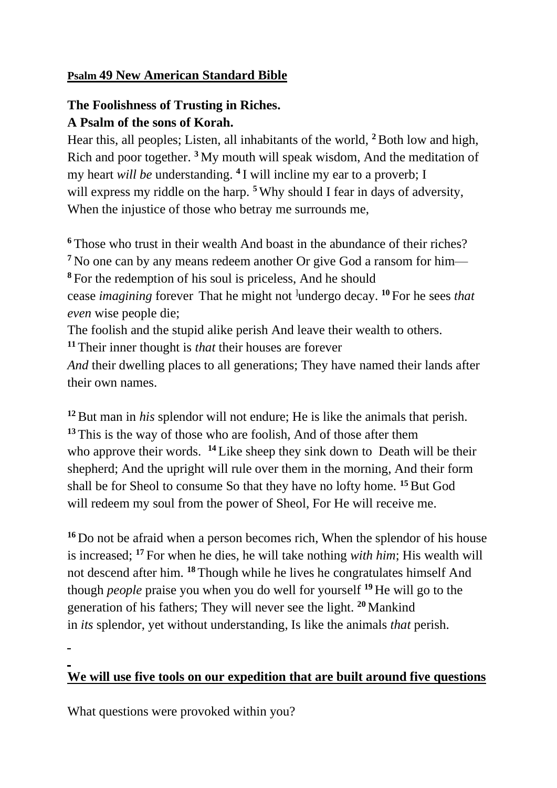## **Psalm 49 New American Standard Bible**

## **The Foolishness of Trusting in Riches. A Psalm of the sons of Korah.**

Hear this, all peoples; Listen, all inhabitants of the world, **<sup>2</sup>**Both low and high, Rich and poor together. **<sup>3</sup>** My mouth will speak wisdom, And the meditation of my heart *will be* understanding. **<sup>4</sup>** I will incline my ear to a proverb; I will express my riddle on the harp. <sup>5</sup> Why should I fear in days of adversity, When the injustice of those who betray me surrounds me,

 Those who trust in their wealth And boast in the abundance of their riches? No one can by any means redeem another Or give God a ransom for him— For the redemption of his soul is priceless, And he should cease *imagining* forever That he might not <sup>l</sup>undergo decay. <sup>10</sup> For he sees *that* 

*even* wise people die;

The foolish and the stupid alike perish And leave their wealth to others.

**<sup>11</sup>** Their inner thought is *that* their houses are forever

*And* their dwelling places to all generations; They have named their lands after their own names.

**<sup>12</sup>**But man in *his* splendor will not endure; He is like the animals that perish. **<sup>13</sup>** This is the way of those who are foolish, And of those after them who approve their words. <sup>14</sup> Like sheep they sink down to Death will be their shepherd; And the upright will rule over them in the morning, And their form shall be for Sheol to consume So that they have no lofty home. **<sup>15</sup>**But God will redeem my soul from the power of Sheol, For He will receive me.

**<sup>16</sup>** Do not be afraid when a person becomes rich, When the splendor of his house is increased; **<sup>17</sup>** For when he dies, he will take nothing *with him*; His wealth will not descend after him. **<sup>18</sup>** Though while he lives he congratulates himself And though *people* praise you when you do well for yourself **<sup>19</sup>** He will go to the generation of his fathers; They will never see the light. **<sup>20</sup>** Mankind in *its* splendor, yet without understanding, Is like the animals *that* perish.

## **We will use five tools on our expedition that are built around five questions**

What questions were provoked within you?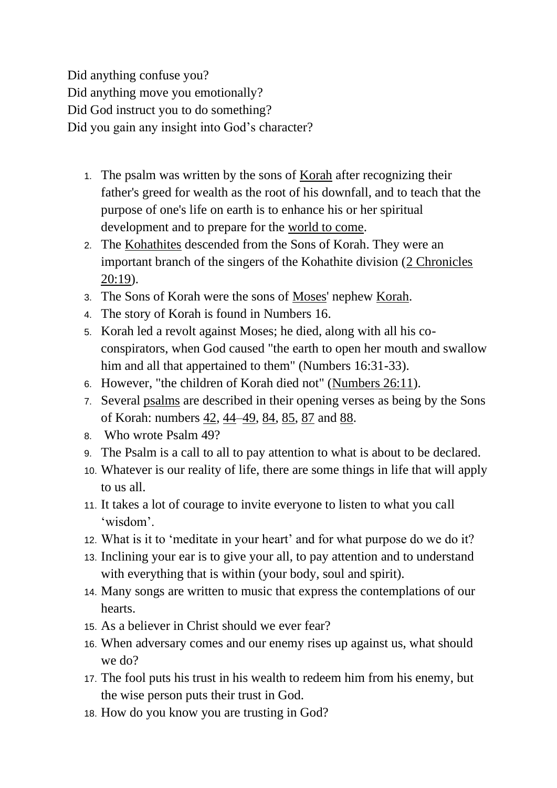Did anything confuse you? Did anything move you emotionally? Did God instruct you to do something? Did you gain any insight into God's character?

- 1. The psalm was written by the sons of [Korah](https://en.wikipedia.org/wiki/Korahites) after recognizing their father's greed for wealth as the root of his downfall, and to teach that the purpose of one's life on earth is to enhance his or her spiritual development and to prepare for the [world to come.](https://en.wikipedia.org/wiki/World_to_come)
- 2. The [Kohathites](https://en.wikipedia.org/wiki/Kohathites) descended from the Sons of Korah. They were an important branch of the singers of the Kohathite division [\(2 Chronicles](https://bible.oremus.org/?passage=2%20Chronicles%2020:19&version=nrsv)  [20:19\)](https://bible.oremus.org/?passage=2%20Chronicles%2020:19&version=nrsv).
- 3. The Sons of Korah were the sons of [Moses'](https://en.wikipedia.org/wiki/Moses) nephew [Korah.](https://en.wikipedia.org/wiki/Korah#Korah,_son_of_Izhar,_leader_of_a_rebellion_against_Moses)
- 4. The story of Korah is found in Numbers 16.
- 5. Korah led a revolt against Moses; he died, along with all his coconspirators, when God caused "the earth to open her mouth and swallow him and all that appertained to them" (Numbers 16:31-33).
- 6. However, "the children of Korah died not" [\(Numbers 26:11\)](https://www.mechon-mamre.org/p/pt/pt0426.htm#11).
- 7. Several [psalms](https://en.wikipedia.org/wiki/Psalm) are described in their opening verses as being by the Sons of Korah: numbers [42,](https://en.wikipedia.org/wiki/Psalm_42) [44](https://en.wikipedia.org/wiki/Psalm_44)[–49,](https://en.wikipedia.org/wiki/Psalm_49) [84,](https://en.wikipedia.org/wiki/Psalm_84) [85,](https://en.wikipedia.org/wiki/Psalm_85) [87](https://en.wikipedia.org/wiki/Psalm_87) and [88.](https://en.wikipedia.org/wiki/Psalm_88)
- 8. Who wrote Psalm 49?
- 9. The Psalm is a call to all to pay attention to what is about to be declared.
- 10. Whatever is our reality of life, there are some things in life that will apply to us all.
- 11. It takes a lot of courage to invite everyone to listen to what you call 'wisdom'.
- 12. What is it to 'meditate in your heart' and for what purpose do we do it?
- 13. Inclining your ear is to give your all, to pay attention and to understand with everything that is within (your body, soul and spirit).
- 14. Many songs are written to music that express the contemplations of our hearts.
- 15. As a believer in Christ should we ever fear?
- 16. When adversary comes and our enemy rises up against us, what should we do?
- 17. The fool puts his trust in his wealth to redeem him from his enemy, but the wise person puts their trust in God.
- 18. How do you know you are trusting in God?